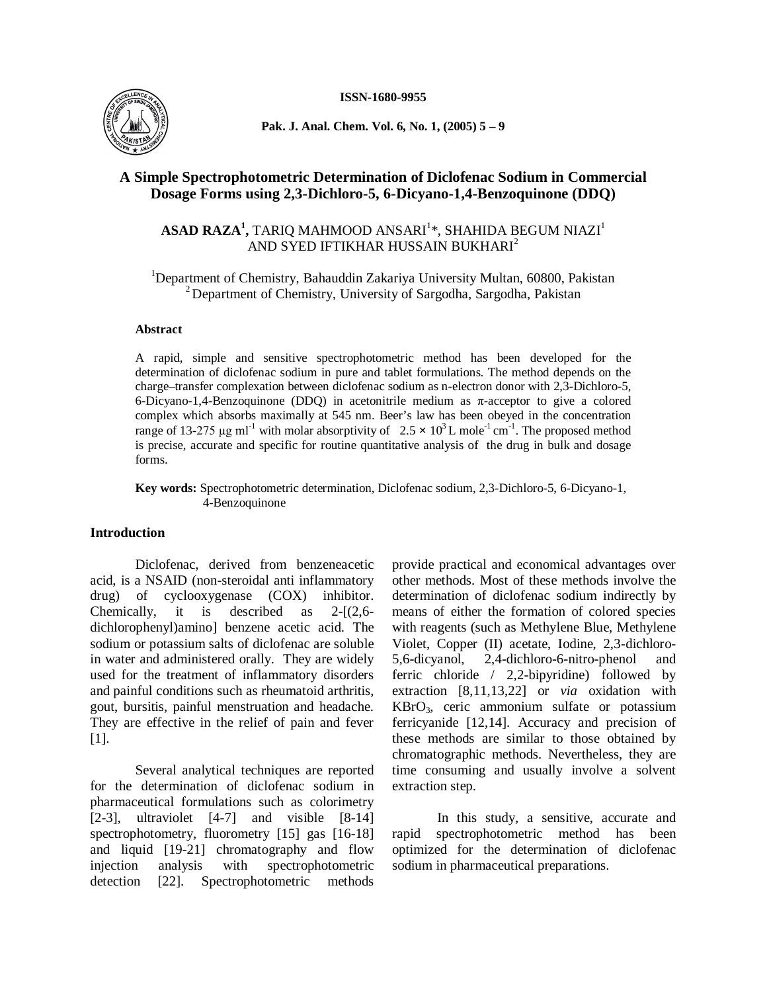

**Pak. J. Anal. Chem. Vol. 6, No. 1, (2005) 5 – 9** 

# **A Simple Spectrophotometric Determination of Diclofenac Sodium in Commercial Dosage Forms using 2,3-Dichloro-5, 6-Dicyano-1,4-Benzoquinone (DDQ)**

# $\mathbf{ASAD}\ \mathbf{RAZA^1},\mathbf{TARIQ}\ \mathbf{MAHMOOD}\ \mathbf{ANSARI^{1*}},\ \mathbf{SHAHIDA}\ \mathbf{BEGUM}\ \mathbf{NIZI^{1*}}$ AND SYED IFTIKHAR HUSSAIN BUKHARI<sup>2</sup>

# <sup>1</sup>Department of Chemistry, Bahauddin Zakariya University Multan, 60800, Pakistan <sup>2</sup> Department of Chemistry, University of Sargodha, Sargodha, Pakistan

### **Abstract**

A rapid, simple and sensitive spectrophotometric method has been developed for the determination of diclofenac sodium in pure and tablet formulations. The method depends on the charge–transfer complexation between diclofenac sodium as n-electron donor with 2,3-Dichloro-5, 6-Dicyano-1,4-Benzoquinone (DDQ) in acetonitrile medium as π-acceptor to give a colored complex which absorbs maximally at 545 nm. Beer's law has been obeyed in the concentration range of 13-275 µg ml<sup>-1</sup> with molar absorptivity of  $2.5 \times 10^3$  L mole<sup>-1</sup> cm<sup>-1</sup>. The proposed method is precise, accurate and specific for routine quantitative analysis of the drug in bulk and dosage forms.

**Key words:** Spectrophotometric determination, Diclofenac sodium, 2,3-Dichloro-5, 6-Dicyano-1, 4-Benzoquinone

### **Introduction**

Diclofenac, derived from benzeneacetic acid, is a NSAID (non-steroidal anti inflammatory drug) of cyclooxygenase (COX) inhibitor. Chemically, it is described as 2-[(2,6 dichlorophenyl)amino] benzene acetic acid. The sodium or potassium salts of diclofenac are soluble in water and administered orally. They are widely used for the treatment of inflammatory disorders and painful conditions such as rheumatoid arthritis, gout, bursitis, painful menstruation and headache. They are effective in the relief of pain and fever [1].

Several analytical techniques are reported for the determination of diclofenac sodium in pharmaceutical formulations such as colorimetry  $[2-3]$ , ultraviolet  $[4-7]$  and visible  $[8-14]$ spectrophotometry, fluorometry [15] gas [16-18] and liquid [19-21] chromatography and flow injection analysis with spectrophotometric detection [22]. Spectrophotometric methods provide practical and economical advantages over other methods. Most of these methods involve the determination of diclofenac sodium indirectly by means of either the formation of colored species with reagents (such as Methylene Blue, Methylene Violet, Copper (II) acetate, Iodine, 2,3-dichloro-5,6-dicyanol, 2,4-dichloro-6-nitro-phenol and ferric chloride / 2,2-bipyridine) followed by extraction [8,11,13,22] or *via* oxidation with KBrO3, ceric ammonium sulfate or potassium ferricyanide [12,14]. Accuracy and precision of these methods are similar to those obtained by chromatographic methods. Nevertheless, they are time consuming and usually involve a solvent extraction step.

In this study, a sensitive, accurate and rapid spectrophotometric method has been optimized for the determination of diclofenac sodium in pharmaceutical preparations.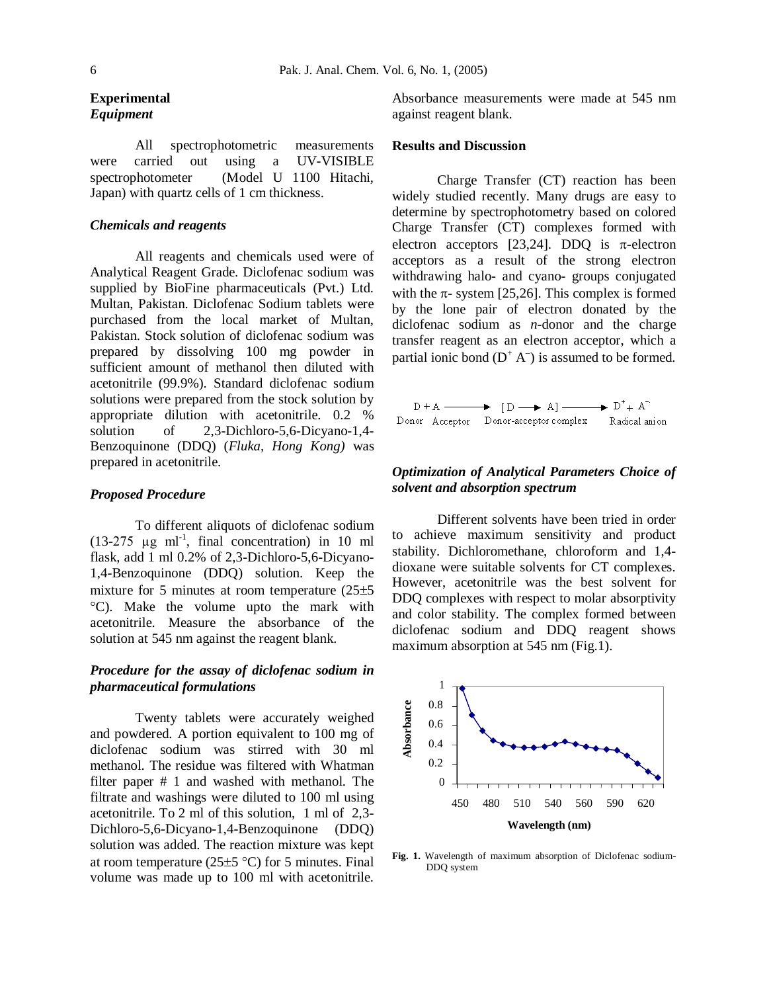# **Experimental** *Equipment*

All spectrophotometric measurements were carried out using a UV-VISIBLE spectrophotometer (Model U 1100 Hitachi, Japan) with quartz cells of 1 cm thickness.

#### *Chemicals and reagents*

All reagents and chemicals used were of Analytical Reagent Grade. Diclofenac sodium was supplied by BioFine pharmaceuticals (Pvt.) Ltd. Multan, Pakistan. Diclofenac Sodium tablets were purchased from the local market of Multan, Pakistan. Stock solution of diclofenac sodium was prepared by dissolving 100 mg powder in sufficient amount of methanol then diluted with acetonitrile (99.9%). Standard diclofenac sodium solutions were prepared from the stock solution by appropriate dilution with acetonitrile. 0.2 % solution of 2,3-Dichloro-5,6-Dicyano-1,4- Benzoquinone (DDQ) (*Fluka, Hong Kong)* was prepared in acetonitrile.

### *Proposed Procedure*

To different aliquots of diclofenac sodium  $(13-275 \mu g \text{ ml}^{-1}$ , final concentration) in 10 ml flask, add 1 ml 0.2% of 2,3-Dichloro-5,6-Dicyano-1,4-Benzoquinone (DDQ) solution. Keep the mixture for 5 minutes at room temperature  $(25\pm5)$ C). Make the volume upto the mark with acetonitrile. Measure the absorbance of the solution at 545 nm against the reagent blank.

## *Procedure for the assay of diclofenac sodium in pharmaceutical formulations*

Twenty tablets were accurately weighed and powdered. A portion equivalent to 100 mg of diclofenac sodium was stirred with 30 ml methanol. The residue was filtered with Whatman filter paper # 1 and washed with methanol. The filtrate and washings were diluted to 100 ml using acetonitrile. To 2 ml of this solution, 1 ml of 2,3- Dichloro-5,6-Dicyano-1,4-Benzoquinone (DDQ) solution was added. The reaction mixture was kept at room temperature (25 $\pm$ 5 °C) for 5 minutes. Final volume was made up to 100 ml with acetonitrile.

Absorbance measurements were made at 545 nm against reagent blank.

### **Results and Discussion**

Charge Transfer (CT) reaction has been widely studied recently. Many drugs are easy to determine by spectrophotometry based on colored Charge Transfer (CT) complexes formed with electron acceptors [23,24]. DDO is  $\pi$ -electron acceptors as a result of the strong electron withdrawing halo- and cyano- groups conjugated with the  $\pi$ - system [25,26]. This complex is formed by the lone pair of electron donated by the diclofenac sodium as *n-*donor and the charge transfer reagent as an electron acceptor, which a partial ionic bond  $(D^+ A^-)$  is assumed to be formed.



# *Optimization of Analytical Parameters Choice of solvent and absorption spectrum*

Different solvents have been tried in order to achieve maximum sensitivity and product stability. Dichloromethane, chloroform and 1,4 dioxane were suitable solvents for CT complexes. However, acetonitrile was the best solvent for DDQ complexes with respect to molar absorptivity and color stability. The complex formed between diclofenac sodium and DDQ reagent shows maximum absorption at 545 nm (Fig.1).



**Fig. 1.** Wavelength of maximum absorption of Diclofenac sodium-DDQ system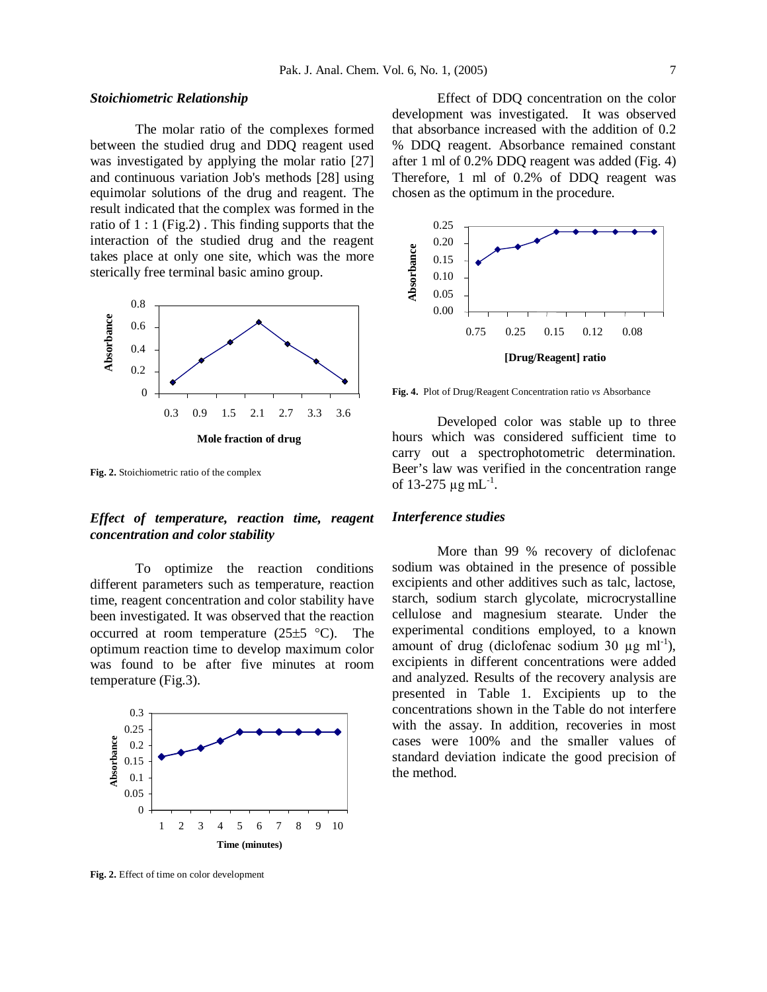#### *Stoichiometric Relationship*

The molar ratio of the complexes formed between the studied drug and DDQ reagent used was investigated by applying the molar ratio [27] and continuous variation Job's methods [28] using equimolar solutions of the drug and reagent. The result indicated that the complex was formed in the ratio of  $1:1$  (Fig.2). This finding supports that the interaction of the studied drug and the reagent takes place at only one site, which was the more sterically free terminal basic amino group.



**Fig. 2.** Stoichiometric ratio of the complex

## *Effect of temperature, reaction time, reagent concentration and color stability*

To optimize the reaction conditions different parameters such as temperature, reaction time, reagent concentration and color stability have been investigated. It was observed that the reaction occurred at room temperature  $(25\pm5~^{\circ}C)$ . The optimum reaction time to develop maximum color was found to be after five minutes at room temperature (Fig.3).



**Fig. 2.** Effect of time on color development

Effect of DDQ concentration on the color development was investigated. It was observed that absorbance increased with the addition of 0.2 % DDQ reagent. Absorbance remained constant after 1 ml of 0.2% DDQ reagent was added (Fig. 4) Therefore, 1 ml of 0.2% of DDQ reagent was chosen as the optimum in the procedure.



**Fig. 4.** Plot of Drug/Reagent Concentration ratio *vs* Absorbance

Developed color was stable up to three hours which was considered sufficient time to carry out a spectrophotometric determination. Beer's law was verified in the concentration range of 13-275  $\mu$ g mL<sup>-1</sup>.

### *Interference studies*

More than 99 % recovery of diclofenac sodium was obtained in the presence of possible excipients and other additives such as talc, lactose, starch, sodium starch glycolate, microcrystalline cellulose and magnesium stearate. Under the experimental conditions employed, to a known amount of drug (diclofenac sodium 30  $\mu$ g ml<sup>-1</sup>), excipients in different concentrations were added and analyzed. Results of the recovery analysis are presented in Table 1. Excipients up to the concentrations shown in the Table do not interfere with the assay. In addition, recoveries in most cases were 100% and the smaller values of standard deviation indicate the good precision of the method.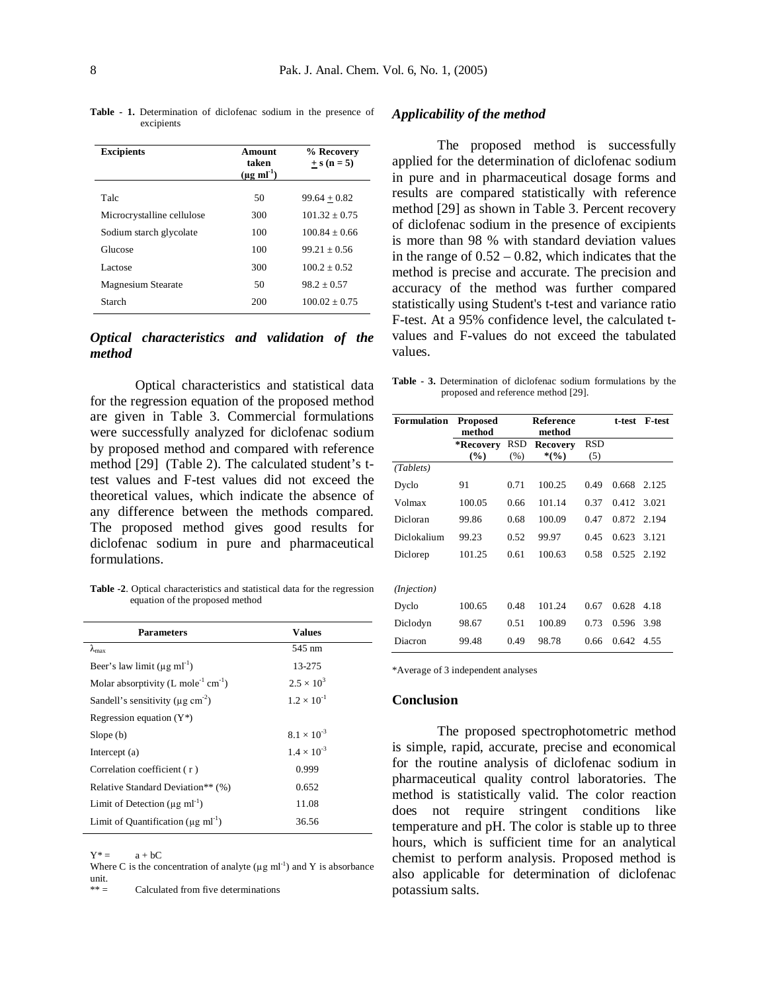| <b>Excipients</b>          | Amount<br>taken<br>$(\mu g \text{ ml}^{-1})$ | % Recovery<br>$+ s (n = 5)$ |
|----------------------------|----------------------------------------------|-----------------------------|
| Talc                       | 50                                           | $99.64 + 0.82$              |
| Microcrystalline cellulose | 300                                          | $101.32 + 0.75$             |
| Sodium starch glycolate    | 100                                          | $100.84 + 0.66$             |
| Glucose                    | 100                                          | $99.21 + 0.56$              |
| Lactose                    | 300                                          | $100.2 + 0.52$              |
| <b>Magnesium Stearate</b>  | 50                                           | $98.2 + 0.57$               |
| Starch                     | 200                                          | $100.02 + 0.75$             |
|                            |                                              |                             |

**Table - 1.** Determination of diclofenac sodium in the presence of excipients

*Optical characteristics and validation of the method*

Optical characteristics and statistical data for the regression equation of the proposed method are given in Table 3. Commercial formulations were successfully analyzed for diclofenac sodium by proposed method and compared with reference method [29] (Table 2). The calculated student's ttest values and F-test values did not exceed the theoretical values, which indicate the absence of any difference between the methods compared. The proposed method gives good results for diclofenac sodium in pure and pharmaceutical formulations.

**Table -2**. Optical characteristics and statistical data for the regression equation of the proposed method

| <b>Parameters</b>                                           | <b>Values</b>        |
|-------------------------------------------------------------|----------------------|
| $\lambda_{max}$                                             | 545 nm               |
| Beer's law limit $(\mu g \text{ ml}^{-1})$                  | 13-275               |
| Molar absorptivity (L mole <sup>-1</sup> cm <sup>-1</sup> ) | $2.5 \times 10^{3}$  |
| Sandell's sensitivity ( $\mu$ g cm <sup>-2</sup> )          | $1.2 \times 10^{-1}$ |
| Regression equation $(Y^*)$                                 |                      |
| Slope(b)                                                    | $8.1 \times 10^{-3}$ |
| Intercept $(a)$                                             | $1.4 \times 10^{-3}$ |
| Correlation coefficient (r)                                 | 0.999                |
| Relative Standard Deviation** (%)                           | 0.652                |
| Limit of Detection $(\mu g \text{ ml}^{-1})$                | 11.08                |
| Limit of Quantification ( $\mu$ g ml <sup>-1</sup> )        | 36.56                |

 $Y^* = a + bC$ 

Where C is the concentration of analyte ( $\mu$ g ml<sup>-1</sup>) and Y is absorbance unit.<br>\*\*  $=$ 

Calculated from five determinations

### *Applicability of the method*

The proposed method is successfully applied for the determination of diclofenac sodium in pure and in pharmaceutical dosage forms and results are compared statistically with reference method [29] as shown in Table 3. Percent recovery of diclofenac sodium in the presence of excipients is more than 98 % with standard deviation values in the range of  $0.52 - 0.82$ , which indicates that the method is precise and accurate. The precision and accuracy of the method was further compared statistically using Student's t-test and variance ratio F-test. At a 95% confidence level, the calculated tvalues and F-values do not exceed the tabulated values.

**Table - 3.** Determination of diclofenac sodium formulations by the proposed and reference method [29].

| <b>Formulation</b>   | <b>Proposed</b><br>method |      | <b>Reference</b><br>method |      | t-test | <b>F-test</b> |
|----------------------|---------------------------|------|----------------------------|------|--------|---------------|
|                      | *Recovery                 | RSD  | <b>Recovery</b>            | RSD  |        |               |
| (Tablets)            | (%)                       | (% ) | $*(\%)$                    | (5)  |        |               |
|                      |                           |      |                            |      |        |               |
| Dyclo                | 91                        | 0.71 | 100.25                     | 0.49 | 0.668  | 2.125         |
| Volmax               | 100.05                    | 0.66 | 101.14                     | 0.37 | 0.412  | 3.021         |
| Dicloran             | 99.86                     | 0.68 | 100.09                     | 0.47 | 0.872  | 2.194         |
| Diclokalium          | 99.23                     | 0.52 | 99.97                      | 0.45 | 0.623  | 3.121         |
| Diclorep             | 101.25                    | 0.61 | 100.63                     | 0.58 | 0.525  | 2.192         |
|                      |                           |      |                            |      |        |               |
| ( <i>Injection</i> ) |                           |      |                            |      |        |               |
| Dyclo                | 100.65                    | 0.48 | 101.24                     | 0.67 | 0.628  | 4.18          |
| Diclodyn             | 98.67                     | 0.51 | 100.89                     | 0.73 | 0.596  | 3.98          |
| Diacron              | 99.48                     | 0.49 | 98.78                      | 0.66 | 0.642  | 4.55          |

\*Average of 3 independent analyses

#### **Conclusion**

The proposed spectrophotometric method is simple, rapid, accurate, precise and economical for the routine analysis of diclofenac sodium in pharmaceutical quality control laboratories. The method is statistically valid. The color reaction does not require stringent conditions like temperature and pH. The color is stable up to three hours, which is sufficient time for an analytical chemist to perform analysis. Proposed method is also applicable for determination of diclofenac potassium salts.